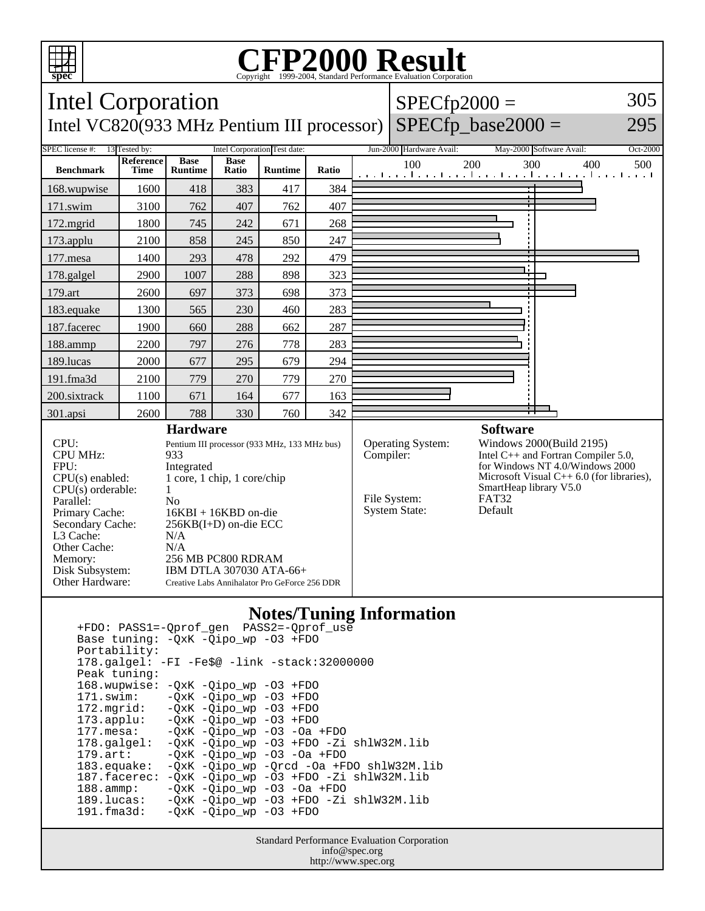

## Copyright ©1999-2004, Standard Performance Evaluation Corporation

| <b>Intel Corporation</b>                                                                                                                                                                                                            |                                                                                                                                                                 |                               |                      |                |           |                                          | $SPECfp2000 =$                                                                                                                                                                                         |            |                                                              | 305      |
|-------------------------------------------------------------------------------------------------------------------------------------------------------------------------------------------------------------------------------------|-----------------------------------------------------------------------------------------------------------------------------------------------------------------|-------------------------------|----------------------|----------------|-----------|------------------------------------------|--------------------------------------------------------------------------------------------------------------------------------------------------------------------------------------------------------|------------|--------------------------------------------------------------|----------|
| $SPECfp\_base2000 =$<br>Intel VC820(933 MHz Pentium III processor)                                                                                                                                                                  |                                                                                                                                                                 |                               |                      |                |           |                                          |                                                                                                                                                                                                        |            |                                                              | 295      |
| SPEC license #:<br>13 Tested by:<br>Intel Corporation Test date:                                                                                                                                                                    |                                                                                                                                                                 |                               |                      |                |           |                                          | Jun-2000 Hardware Avail:                                                                                                                                                                               |            | May-2000 Software Avail:                                     | Oct-2000 |
| <b>Benchmark</b>                                                                                                                                                                                                                    | Reference<br><b>Time</b>                                                                                                                                        | <b>Base</b><br><b>Runtime</b> | <b>Base</b><br>Ratio | <b>Runtime</b> | Ratio     |                                          | 100                                                                                                                                                                                                    | 200<br>300 | 400<br>المتساحية والمتواجدة والمتواجدة والمتواجدة والمتواجدة | 500      |
| 168.wupwise                                                                                                                                                                                                                         | 1600                                                                                                                                                            | 418                           | 383                  | 417            | 384       |                                          |                                                                                                                                                                                                        |            |                                                              |          |
| 171.swim                                                                                                                                                                                                                            | 3100                                                                                                                                                            | 762                           | 407                  | 762            | 407       |                                          |                                                                                                                                                                                                        |            |                                                              |          |
| 172.mgrid                                                                                                                                                                                                                           | 1800                                                                                                                                                            | 745                           | 242                  | 671            | 268       |                                          |                                                                                                                                                                                                        |            |                                                              |          |
| 173.applu                                                                                                                                                                                                                           | 2100                                                                                                                                                            | 858                           | 245                  | 850            | 247       |                                          |                                                                                                                                                                                                        |            |                                                              |          |
| 177.mesa                                                                                                                                                                                                                            | 1400                                                                                                                                                            | 293                           | 478                  | 292            | 479       |                                          |                                                                                                                                                                                                        |            |                                                              |          |
| 178.galgel                                                                                                                                                                                                                          | 2900                                                                                                                                                            | 1007                          | 288                  | 898            | 323       |                                          |                                                                                                                                                                                                        |            |                                                              |          |
| 179.art                                                                                                                                                                                                                             | 2600                                                                                                                                                            | 697                           | 373                  | 698            | 373       |                                          |                                                                                                                                                                                                        |            |                                                              |          |
| 183.equake                                                                                                                                                                                                                          | 1300                                                                                                                                                            | 565                           | 230                  | 460            | 283       |                                          |                                                                                                                                                                                                        |            |                                                              |          |
| 187.facerec                                                                                                                                                                                                                         | 1900                                                                                                                                                            | 660                           | 288                  | 662            | 287       |                                          |                                                                                                                                                                                                        |            |                                                              |          |
| 188.ammp                                                                                                                                                                                                                            | 2200                                                                                                                                                            | 797                           | 276                  | 778            | 283       |                                          |                                                                                                                                                                                                        |            |                                                              |          |
| 189.lucas                                                                                                                                                                                                                           | 2000                                                                                                                                                            | 677                           | 295                  | 679            | 294       |                                          |                                                                                                                                                                                                        |            |                                                              |          |
| 191.fma3d                                                                                                                                                                                                                           | 2100                                                                                                                                                            | 779                           | 270                  | 779            | 270       |                                          |                                                                                                                                                                                                        |            |                                                              |          |
| 200.sixtrack                                                                                                                                                                                                                        | 1100                                                                                                                                                            | 671                           | 164                  | 677            | 163       |                                          |                                                                                                                                                                                                        |            |                                                              |          |
| 301.apsi                                                                                                                                                                                                                            | 2600                                                                                                                                                            | 788                           | 330                  | 760            | 342       |                                          |                                                                                                                                                                                                        |            |                                                              |          |
| <b>Hardware</b><br>CPU:<br>Pentium III processor (933 MHz, 133 MHz bus)<br><b>CPU MHz:</b><br>933<br>FPU:<br>Integrated<br>1 core, 1 chip, 1 core/chip<br>$CPU(s)$ enabled:<br>CPU(s) orderable:<br>$\mathbf{1}$<br>Parallel:<br>No |                                                                                                                                                                 |                               |                      |                | Compiler: | <b>Operating System:</b><br>File System: | <b>Software</b><br>Windows 2000(Build 2195)<br>Intel C++ and Fortran Compiler 5.0,<br>for Windows NT 4.0/Windows 2000<br>Microsoft Visual $C++6.0$ (for libraries),<br>SmartHeap library V5.0<br>FAT32 |            |                                                              |          |
| Primary Cache:<br>Secondary Cache:<br>L3 Cache:<br>Other Cache:<br>Memory:<br>Disk Subsystem:<br>Other Hardware:                                                                                                                    | $16KBI + 16KBD$ on-die<br>256KB(I+D) on-die ECC<br>N/A<br>N/A<br>256 MB PC800 RDRAM<br>IBM DTLA 307030 ATA-66+<br>Creative Labs Annihalator Pro GeForce 256 DDR |                               |                      |                |           | <b>System State:</b>                     | Default                                                                                                                                                                                                |            |                                                              |          |

## **Notes/Tuning Information**

 +FDO: PASS1=-Qprof\_gen PASS2=-Qprof\_use Base tuning: -QxK -Qipo\_wp -O3 +FDO Portability: 178.galgel: -FI -Fe\$@ -link -stack:32000000 Peak tuning: 168.wupwise: -QxK -Qipo\_wp -O3 +FDO 171.swim: -QxK -Qipo\_wp -O3 +FDO 172.mgrid:  $-\overline{Q}xK -\overline{Q}ip\overline{O} - wp$  -O3 +FDO<br>173.applu: -QxK -Qipo\_wp -O3 +FDO  $-QxK$  -Qipo\_wp -O3 +FDO 177.mesa: -QxK -Qipo\_wp -O3 -Oa +FDO 178.galgel: -QxK -Qipo\_wp -O3 +FDO -Zi shlW32M.lib<br>179.art: -QxK -Qipo\_wp -O3 -Oa +FDO -QxK -Qipo\_wp -O3 -Oa +FDO 183.equake: -QxK -Qipo\_wp -Qrcd -Oa +FDO shlW32M.lib 187.facerec:  $-QxK -Qipo\_wp -O3$  +FDO -Zi shlW32M.lib<br>188.ammp: -QxK -Qipo\_wp -O3 -Oa +FDO 188.ammp: -QxK -Qipo\_wp -O3 -Oa +FDO 189.lucas: -QxK -Qipo\_wp -O3 +FDO -Zi shlW32M.lib 191.fma3d: -QxK -Qipo\_wp -O3 +FDO

> Standard Performance Evaluation Corporation info@spec.org http://www.spec.org